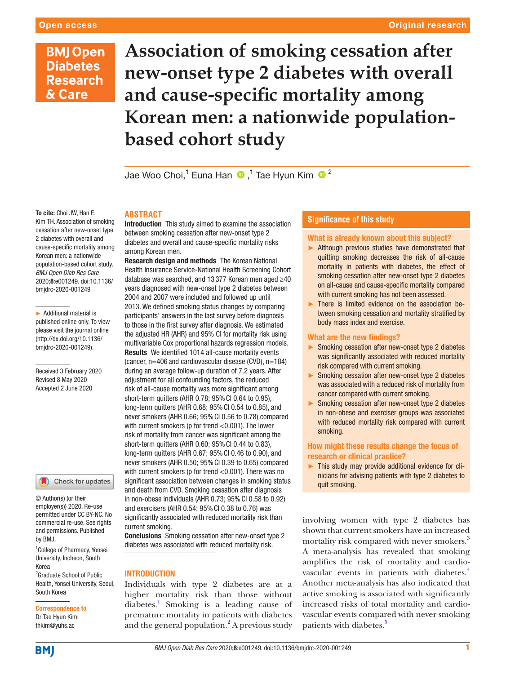# **BMJ Open Diabetes Research** & Care

**Association of smoking cessation after new-onset type 2 diabetes with overall and cause-specific mortality among Korean men: a nationwide populationbased cohort study**

Jae Woo Choi,1 Euna Han,1 Tae Hyun Kim <sup>2</sup>

### To cite: Choi JW, Han E, Kim TH. Association of smoking cessation after new-onset type 2 diabetes with overall and cause-specific mortality among Korean men: a nationwide population-based cohort study. *BMJ Open Diab Res Care* 2020;8:e001249. doi:10.1136/ bmjdrc-2020-001249

► Additional material is published online only. To view please visit the journal online (http://dx.doi.org/10.1136/ bmjdrc-2020-001249).

Received 3 February 2020 Revised 8 May 2020 Accepted 2 June 2020

#### Check for updates

© Author(s) (or their employer(s)) 2020. Re-use permitted under CC BY-NC. No commercial re-use. See rights and permissions. Published by BMJ.

<sup>1</sup> College of Pharmacy, Yonsei University, Incheon, South Korea <sup>2</sup> Graduate School of Public Health, Yonsei University, Seoul, South Korea

## Correspondence to Dr Tae Hyun Kim;

thkim@yuhs.ac

## **Abstract**

Introduction This study aimed to examine the association between smoking cessation after new-onset type 2 diabetes and overall and cause-specific mortality risks among Korean men.

**Research design and methods** The Korean National Health Insurance Service-National Health Screening Cohort database was searched, and 13 377 Korean men aged ≥40 years diagnosed with new-onset type 2 diabetes between 2004 and 2007 were included and followed up until 2013. We defined smoking status changes by comparing participants' answers in the last survey before diagnosis to those in the first survey after diagnosis. We estimated the adjusted HR (AHR) and 95% CI for mortality risk using multivariable Cox proportional hazards regression models. Results We identified 1014 all-cause mortality events (cancer, n=406 and cardiovascular disease (CVD), n=184) during an average follow-up duration of 7.2 years. After adjustment for all confounding factors, the reduced risk of all-cause mortality was more significant among short-term quitters (AHR 0.78; 95%CI 0.64 to 0.95), long-term quitters (AHR 0.68; 95%CI 0.54 to 0.85), and never smokers (AHR 0.66; 95%CI 0.56 to 0.78) compared with current smokers (p for trend <0.001). The lower risk of mortality from cancer was significant among the short-term quitters (AHR 0.60; 95%CI 0.44 to 0.83), long-term quitters (AHR 0.67; 95%CI 0.46 to 0.90), and never smokers (AHR 0.50; 95%CI 0.39 to 0.65) compared with current smokers (p for trend <0.001). There was no significant association between changes in smoking status and death from CVD. Smoking cessation after diagnosis in non-obese individuals (AHR 0.73; 95%CI 0.58 to 0.92) and exercisers (AHR 0.54; 95%CI 0.38 to 0.76) was significantly associated with reduced mortality risk than current smoking.

Conclusions Smoking cessation after new-onset type 2 diabetes was associated with reduced mortality risk.

# **INTRODUCTION**

Individuals with type 2 diabetes are at a higher mortality risk than those without diabetes.<sup>1</sup> Smoking is a leading cause of premature mortality in patients with diabetes and the general population. $^{2}$  $^{2}$  $^{2}$  A previous study

# **Significance of this study**

# What is already known about this subject?

- ► Although previous studies have demonstrated that quitting smoking decreases the risk of all-cause mortality in patients with diabetes, the effect of smoking cessation after new-onset type 2 diabetes on all-cause and cause-specific mortality compared with current smoking has not been assessed.
- ► There is limited evidence on the association between smoking cessation and mortality stratified by body mass index and exercise.

## What are the new findings?

- ► Smoking cessation after new-onset type 2 diabetes was significantly associated with reduced mortality risk compared with current smoking.
- ► Smoking cessation after new-onset type 2 diabetes was associated with a reduced risk of mortality from cancer compared with current smoking.
- ► Smoking cessation after new-onset type 2 diabetes in non-obese and exerciser groups was associated with reduced mortality risk compared with current smoking.

## How might these results change the focus of research or clinical practice?

► This study may provide additional evidence for clinicians for advising patients with type 2 diabetes to quit smoking.

involving women with type 2 diabetes has shown that current smokers have an increased mortality risk compared with never smokers.<sup>[3](#page-5-2)</sup> A meta-analysis has revealed that smoking amplifies the risk of mortality and cardio-vascular events in patients with diabetes.<sup>[4](#page-5-3)</sup> Another meta-analysis has also indicated that active smoking is associated with significantly increased risks of total mortality and cardiovascular events compared with never smoking patients with diabetes.<sup>[5](#page-6-0)</sup>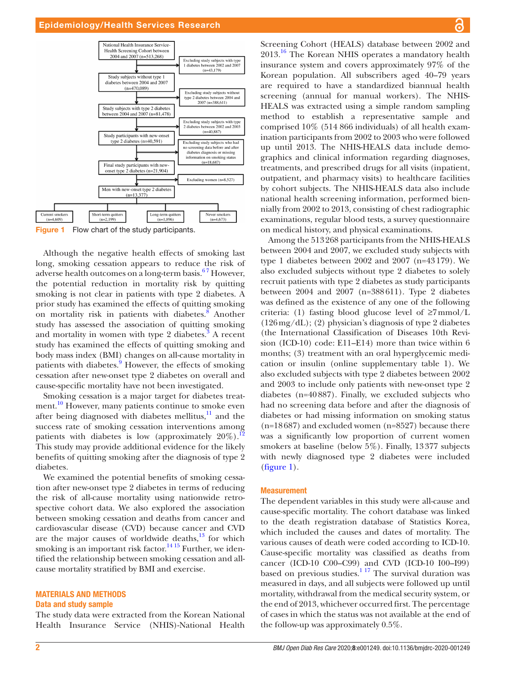

<span id="page-1-0"></span>Figure 1 Flow chart of the study participants.

Although the negative health effects of smoking last long, smoking cessation appears to reduce the risk of adverse health outcomes on a long-term basis.<sup>67</sup> However, the potential reduction in mortality risk by quitting smoking is not clear in patients with type 2 diabetes. A prior study has examined the effects of quitting smoking on mortality risk in patients with diabetes. $8 \overline{8}$  $8 \overline{8}$  Another study has assessed the association of quitting smoking and mortality in women with type 2 diabetes. $3$  A recent study has examined the effects of quitting smoking and body mass index (BMI) changes on all-cause mortality in patients with diabetes.<sup>[9](#page-6-3)</sup> However, the effects of smoking cessation after new-onset type 2 diabetes on overall and cause-specific mortality have not been investigated.

Smoking cessation is a major target for diabetes treatment.<sup>10</sup> However, many patients continue to smoke even after being diagnosed with diabetes mellitus,<sup>11</sup> and the success rate of smoking cessation interventions among patients with diabetes is low (approximately  $20\%$ ).<sup>12</sup> This study may provide additional evidence for the likely benefits of quitting smoking after the diagnosis of type 2 diabetes.

We examined the potential benefits of smoking cessation after new-onset type 2 diabetes in terms of reducing the risk of all-cause mortality using nationwide retrospective cohort data. We also explored the association between smoking cessation and deaths from cancer and cardiovascular disease (CVD) because cancer and CVD are the major causes of worldwide deaths, $13$  for which smoking is an important risk factor.<sup>14 15</sup> Further, we identified the relationship between smoking cessation and allcause mortality stratified by BMI and exercise.

# Materials and methods

#### Data and study sample

The study data were extracted from the Korean National Health Insurance Service (NHIS)-National Health Screening Cohort (HEALS) database between 2002 and 2013.[16](#page-6-9) The Korean NHIS operates a mandatory health insurance system and covers approximately 97% of the Korean population. All subscribers aged 40–79 years are required to have a standardized biannual health screening (annual for manual workers). The NHIS-HEALS was extracted using a simple random sampling method to establish a representative sample and comprised 10% (514 866 individuals) of all health examination participants from 2002 to 2003 who were followed up until 2013. The NHIS-HEALS data include demographics and clinical information regarding diagnoses, treatments, and prescribed drugs for all visits (inpatient, outpatient, and pharmacy visits) to healthcare facilities by cohort subjects. The NHIS-HEALS data also include national health screening information, performed biennially from 2002 to 2013, consisting of chest radiographic examinations, regular blood tests, a survey questionnaire on medical history, and physical examinations.

Among the 513268 participants from the NHIS-HEALS between 2004 and 2007, we excluded study subjects with type 1 diabetes between 2002 and 2007 (n=43179). We also excluded subjects without type 2 diabetes to solely recruit patients with type 2 diabetes as study participants between 2004 and 2007 (n=388611). Type 2 diabetes was defined as the existence of any one of the following criteria: (1) fasting blood glucose level of  $\geq 7$ mmol/L  $(126 \,\text{mg/dL})$ ; (2) physician's diagnosis of type 2 diabetes (the International Classification of Diseases 10th Revision (ICD-10) code: E11–E14) more than twice within 6 months; (3) treatment with an oral hyperglycemic medication or insulin ([online supplementary table 1\)](https://dx.doi.org/10.1136/bmjdrc-2020-001249). We also excluded subjects with type 2 diabetes between 2002 and 2003 to include only patients with new-onset type 2 diabetes (n=40887). Finally, we excluded subjects who had no screening data before and after the diagnosis of diabetes or had missing information on smoking status (n=18687) and excluded women (n=8527) because there was a significantly low proportion of current women smokers at baseline (below 5%). Finally, 13377 subjects with newly diagnosed type 2 diabetes were included [\(figure](#page-1-0) 1).

#### Measurement

The dependent variables in this study were all-cause and cause-specific mortality. The cohort database was linked to the death registration database of Statistics Korea, which included the causes and dates of mortality. The various causes of death were coded according to ICD-10. Cause-specific mortality was classified as deaths from cancer (ICD-10 C00–C99) and CVD (ICD-10 I00–I99) based on previous studies. $117$  The survival duration was measured in days, and all subjects were followed up until mortality, withdrawal from the medical security system, or the end of 2013, whichever occurred first. The percentage of cases in which the status was not available at the end of the follow-up was approximately 0.5%.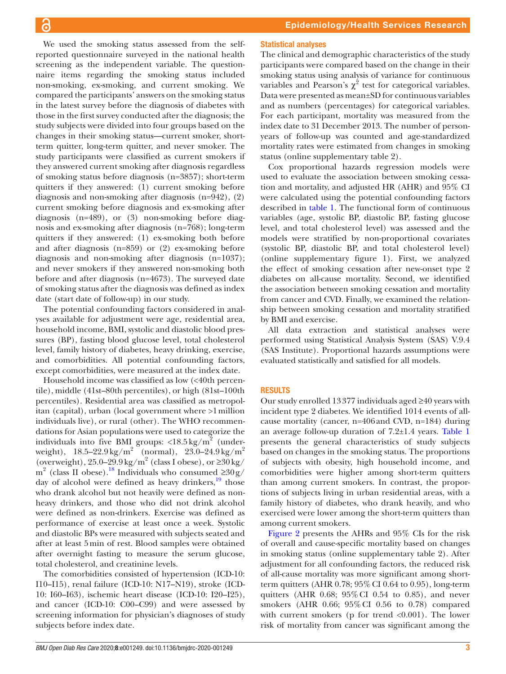We used the smoking status assessed from the selfreported questionnaire surveyed in the national health screening as the independent variable. The questionnaire items regarding the smoking status included non-smoking, ex-smoking, and current smoking. We compared the participants' answers on the smoking status in the latest survey before the diagnosis of diabetes with those in the first survey conducted after the diagnosis; the study subjects were divided into four groups based on the changes in their smoking status—current smoker, shortterm quitter, long-term quitter, and never smoker. The study participants were classified as current smokers if they answered current smoking after diagnosis regardless of smoking status before diagnosis (n=3857); short-term quitters if they answered: (1) current smoking before diagnosis and non-smoking after diagnosis (n=942), (2) current smoking before diagnosis and ex-smoking after diagnosis (n=489), or (3) non-smoking before diagnosis and ex-smoking after diagnosis (n=768); long-term quitters if they answered: (1) ex-smoking both before and after diagnosis (n=859) or (2) ex-smoking before diagnosis and non-smoking after diagnosis (n=1037); and never smokers if they answered non-smoking both before and after diagnosis (n=4673). The surveyed date of smoking status after the diagnosis was defined as index date (start date of follow-up) in our study.

The potential confounding factors considered in analyses available for adjustment were age, residential area, household income, BMI, systolic and diastolic blood pressures (BP), fasting blood glucose level, total cholesterol level, family history of diabetes, heavy drinking, exercise, and comorbidities. All potential confounding factors, except comorbidities, were measured at the index date.

Household income was classified as low (<40th percentile), middle (41st–80th percentiles), or high (81st–100th percentiles). Residential area was classified as metropolitan (capital), urban (local government where >1million individuals live), or rural (other). The WHO recommendations for Asian populations were used to categorize the individuals into five BMI groups:  $\langle 18.5 \text{ kg/m}^2 \rangle$  (underweight),  $18.5 - 22.9 \,\mathrm{kg/m}^2$  (normal),  $23.0 - 24.9 \,\mathrm{kg/m}^2$ (overweight),  $25.0-29.9 \text{ kg/m}^2$  (class I obese), or  $\geq 30 \text{ kg/s}$ m<sup>2</sup> (class II obese).<sup>18</sup> Individuals who consumed  $\geq 30g/$ day of alcohol were defined as heavy drinkers, $\frac{19}{19}$  those who drank alcohol but not heavily were defined as nonheavy drinkers, and those who did not drink alcohol were defined as non-drinkers. Exercise was defined as performance of exercise at least once a week. Systolic and diastolic BPs were measured with subjects seated and after at least 5min of rest. Blood samples were obtained after overnight fasting to measure the serum glucose, total cholesterol, and creatinine levels.

The comorbidities consisted of hypertension (ICD-10: I10–I15), renal failure (ICD-10: N17–N19), stroke (ICD-10: I60–I63), ischemic heart disease (ICD-10: I20–I25), and cancer (ICD-10: C00–C99) and were assessed by screening information for physician's diagnoses of study subjects before index date.

# Statistical analyses

The clinical and demographic characteristics of the study participants were compared based on the change in their smoking status using analysis of variance for continuous variables and Pearson's  $\chi^2$  test for categorical variables. Data were presented as mean±SD for continuous variables and as numbers (percentages) for categorical variables. For each participant, mortality was measured from the index date to 31 December 2013. The number of personyears of follow-up was counted and age-standardized mortality rates were estimated from changes in smoking status [\(online supplementary table 2](https://dx.doi.org/10.1136/bmjdrc-2020-001249)).

Cox proportional hazards regression models were used to evaluate the association between smoking cessation and mortality, and adjusted HR (AHR) and 95% CI were calculated using the potential confounding factors described in [table](#page-3-0) 1. The functional form of continuous variables (age, systolic BP, diastolic BP, fasting glucose level, and total cholesterol level) was assessed and the models were stratified by non-proportional covariates (systolic BP, diastolic BP, and total cholesterol level) [\(online supplementary figure 1\)](https://dx.doi.org/10.1136/bmjdrc-2020-001249). First, we analyzed the effect of smoking cessation after new-onset type 2 diabetes on all-cause mortality. Second, we identified the association between smoking cessation and mortality from cancer and CVD. Finally, we examined the relationship between smoking cessation and mortality stratified by BMI and exercise.

All data extraction and statistical analyses were performed using Statistical Analysis System (SAS) V.9.4 (SAS Institute). Proportional hazards assumptions were evaluated statistically and satisfied for all models.

## **RESULTS**

Our study enrolled 13377 individuals aged ≥40 years with incident type 2 diabetes. We identified 1014 events of allcause mortality (cancer, n=406and CVD, n=184) during an average follow-up duration of 7.2±1.4 years. [Table](#page-3-0) 1 presents the general characteristics of study subjects based on changes in the smoking status. The proportions of subjects with obesity, high household income, and comorbidities were higher among short-term quitters than among current smokers. In contrast, the proportions of subjects living in urban residential areas, with a family history of diabetes, who drank heavily, and who exercised were lower among the short-term quitters than among current smokers.

[Figure](#page-4-0) 2 presents the AHRs and 95% CIs for the risk of overall and cause-specific mortality based on changes in smoking status [\(online supplementary table 2\)](https://dx.doi.org/10.1136/bmjdrc-2020-001249). After adjustment for all confounding factors, the reduced risk of all-cause mortality was more significant among shortterm quitters (AHR 0.78; 95%CI 0.64 to 0.95), long-term quitters (AHR 0.68; 95%CI 0.54 to 0.85), and never smokers (AHR 0.66; 95%CI 0.56 to 0.78) compared with current smokers (p for trend  $<0.001$ ). The lower risk of mortality from cancer was significant among the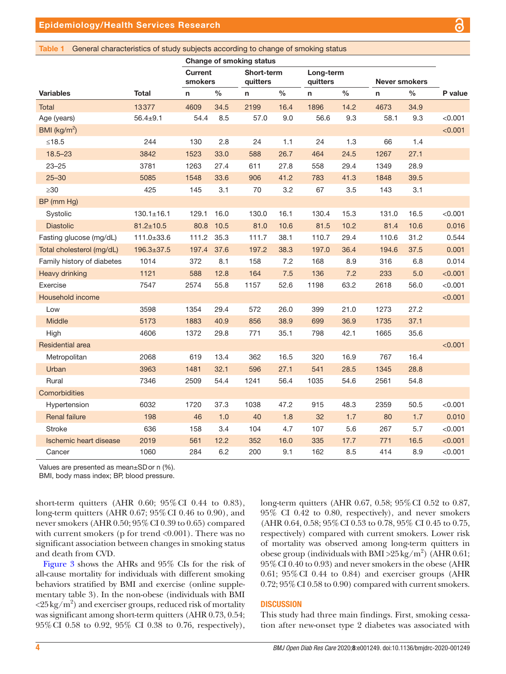## <span id="page-3-0"></span>Table 1 General characteristics of study subjects according to change of smoking status

|                               |                  | Change of smoking status  |      |                        |               |                       |               |                      |               |         |
|-------------------------------|------------------|---------------------------|------|------------------------|---------------|-----------------------|---------------|----------------------|---------------|---------|
|                               |                  | <b>Current</b><br>smokers |      | Short-term<br>quitters |               | Long-term<br>quitters |               | <b>Never smokers</b> |               |         |
| <b>Variables</b>              | <b>Total</b>     | $\mathsf{n}$              | $\%$ | n                      | $\frac{0}{0}$ | n                     | $\frac{0}{0}$ | $\mathsf{n}$         | $\frac{0}{0}$ | P value |
| <b>Total</b>                  | 13377            | 4609                      | 34.5 | 2199                   | 16.4          | 1896                  | 14.2          | 4673                 | 34.9          |         |
| Age (years)                   | $56.4 \pm 9.1$   | 54.4                      | 8.5  | 57.0                   | 9.0           | 56.6                  | 9.3           | 58.1                 | 9.3           | < 0.001 |
| BMI ( $\text{kg/m}^2$ )       |                  |                           |      |                        |               |                       |               |                      |               | < 0.001 |
| $≤18.5$                       | 244              | 130                       | 2.8  | 24                     | 1.1           | 24                    | 1.3           | 66                   | 1.4           |         |
| $18.5 - 23$                   | 3842             | 1523                      | 33.0 | 588                    | 26.7          | 464                   | 24.5          | 1267                 | 27.1          |         |
| $23 - 25$                     | 3781             | 1263                      | 27.4 | 611                    | 27.8          | 558                   | 29.4          | 1349                 | 28.9          |         |
| $25 - 30$                     | 5085             | 1548                      | 33.6 | 906                    | 41.2          | 783                   | 41.3          | 1848                 | 39.5          |         |
| $\geq 30$                     | 425              | 145                       | 3.1  | 70                     | 3.2           | 67                    | 3.5           | 143                  | 3.1           |         |
| BP (mm Hg)                    |                  |                           |      |                        |               |                       |               |                      |               |         |
| Systolic                      | $130.1 \pm 16.1$ | 129.1                     | 16.0 | 130.0                  | 16.1          | 130.4                 | 15.3          | 131.0                | 16.5          | < 0.001 |
| <b>Diastolic</b>              | $81.2 \pm 10.5$  | 80.8                      | 10.5 | 81.0                   | 10.6          | 81.5                  | 10.2          | 81.4                 | 10.6          | 0.016   |
| Fasting glucose (mg/dL)       | 111.0±33.6       | 111.2                     | 35.3 | 111.7                  | 38.1          | 110.7                 | 29.4          | 110.6                | 31.2          | 0.544   |
| Total cholesterol (mg/dL)     | 196.3±37.5       | 197.4                     | 37.6 | 197.2                  | 38.3          | 197.0                 | 36.4          | 194.6                | 37.5          | 0.001   |
| Family history of diabetes    | 1014             | 372                       | 8.1  | 158                    | 7.2           | 168                   | 8.9           | 316                  | 6.8           | 0.014   |
| <b>Heavy drinking</b>         | 1121             | 588                       | 12.8 | 164                    | 7.5           | 136                   | 7.2           | 233                  | 5.0           | < 0.001 |
| Exercise                      | 7547             | 2574                      | 55.8 | 1157                   | 52.6          | 1198                  | 63.2          | 2618                 | 56.0          | < 0.001 |
| Household income              |                  |                           |      |                        |               |                       |               |                      |               | < 0.001 |
| Low                           | 3598             | 1354                      | 29.4 | 572                    | 26.0          | 399                   | 21.0          | 1273                 | 27.2          |         |
| Middle                        | 5173             | 1883                      | 40.9 | 856                    | 38.9          | 699                   | 36.9          | 1735                 | 37.1          |         |
| High                          | 4606             | 1372                      | 29.8 | 771                    | 35.1          | 798                   | 42.1          | 1665                 | 35.6          |         |
| <b>Residential area</b>       |                  |                           |      |                        |               |                       |               |                      |               | < 0.001 |
| Metropolitan                  | 2068             | 619                       | 13.4 | 362                    | 16.5          | 320                   | 16.9          | 767                  | 16.4          |         |
| Urban                         | 3963             | 1481                      | 32.1 | 596                    | 27.1          | 541                   | 28.5          | 1345                 | 28.8          |         |
| Rural                         | 7346             | 2509                      | 54.4 | 1241                   | 56.4          | 1035                  | 54.6          | 2561                 | 54.8          |         |
| Comorbidities                 |                  |                           |      |                        |               |                       |               |                      |               |         |
| Hypertension                  | 6032             | 1720                      | 37.3 | 1038                   | 47.2          | 915                   | 48.3          | 2359                 | 50.5          | < 0.001 |
| <b>Renal failure</b>          | 198              | 46                        | 1.0  | 40                     | 1.8           | 32                    | 1.7           | 80                   | 1.7           | 0.010   |
| <b>Stroke</b>                 | 636              | 158                       | 3.4  | 104                    | 4.7           | 107                   | 5.6           | 267                  | 5.7           | < 0.001 |
| <b>Ischemic heart disease</b> | 2019             | 561                       | 12.2 | 352                    | 16.0          | 335                   | 17.7          | 771                  | 16.5          | < 0.001 |
| Cancer                        | 1060             | 284                       | 6.2  | 200                    | 9.1           | 162                   | 8.5           | 414                  | 8.9           | < 0.001 |

Values are presented as mean±SDor n (%).

BMI, body mass index; BP, blood pressure.

short-term quitters (AHR 0.60; 95%CI 0.44 to 0.83), long-term quitters (AHR 0.67; 95%CI 0.46 to 0.90), and never smokers (AHR 0.50; 95%CI 0.39 to 0.65) compared with current smokers (p for trend  $<0.001$ ). There was no significant association between changes in smoking status and death from CVD.

[Figure](#page-4-1) 3 shows the AHRs and 95% CIs for the risk of all-cause mortality for individuals with different smoking behaviors stratified by BMI and exercise [\(online supple](https://dx.doi.org/10.1136/bmjdrc-2020-001249)[mentary table 3](https://dx.doi.org/10.1136/bmjdrc-2020-001249)). In the non-obese (individuals with BMI  $\langle 25\,\mathrm{kg}/\mathrm{m}^2\rangle$  and exerciser groups, reduced risk of mortality was significant among short-term quitters (AHR 0.73, 0.54; 95%CI 0.58 to 0.92, 95% CI 0.38 to 0.76, respectively),

long-term quitters (AHR 0.67, 0.58; 95%CI 0.52 to 0.87, 95% CI 0.42 to 0.80, respectively), and never smokers (AHR 0.64, 0.58; 95%CI 0.53 to 0.78, 95% CI 0.45 to 0.75, respectively) compared with current smokers. Lower risk of mortality was observed among long-term quitters in obese group (individuals with BMI >  $25 \text{ kg/m}^2$ ) (AHR 0.61; 95%CI 0.40 to 0.93) and never smokers in the obese (AHR 0.61; 95%CI 0.44 to 0.84) and exerciser groups (AHR  $0.72$ ;  $95\%$  CI  $0.58$  to  $0.90$ ) compared with current smokers.

## **DISCUSSION**

This study had three main findings. First, smoking cessation after new-onset type 2 diabetes was associated with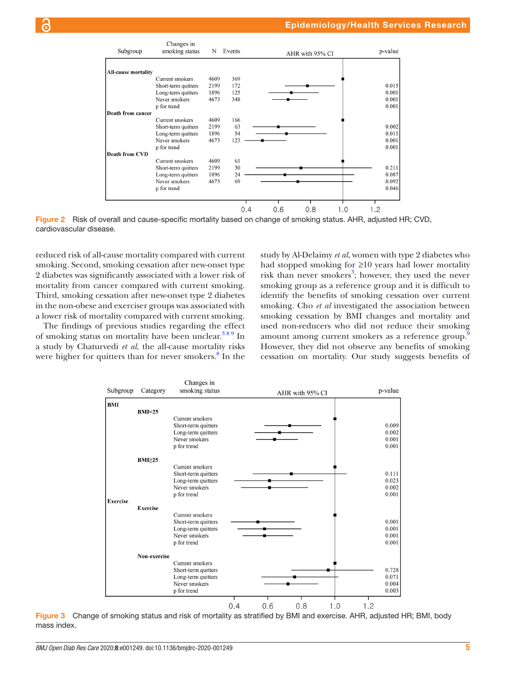

Figure 2 Risk of overall and cause-specific mortality based on change of smoking status. AHR, adjusted HR; CVD, cardiovascular disease.

reduced risk of all-cause mortality compared with current smoking. Second, smoking cessation after new-onset type 2 diabetes was significantly associated with a lower risk of mortality from cancer compared with current smoking. Third, smoking cessation after new-onset type 2 diabetes in the non-obese and exerciser groups was associated with a lower risk of mortality compared with current smoking.

The findings of previous studies regarding the effect of smoking status on mortality have been unclear.  $389 \text{ In}$ a study by Chaturvedi *et al*, the all-cause mortality risks were higher for quitters than for never smokers.<sup>[8](#page-6-2)</sup> In the <span id="page-4-0"></span>study by Al-Delaimy *et al*, women with type 2 diabetes who had stopped smoking for ≥10 years had lower mortality risk than never smokers<sup>[3](#page-5-2)</sup>; however, they used the never smoking group as a reference group and it is difficult to identify the benefits of smoking cessation over current smoking. Cho *et al* investigated the association between smoking cessation by BMI changes and mortality and used non-reducers who did not reduce their smoking amount among current smokers as a reference group.<sup>[9](#page-6-3)</sup> However, they did not observe any benefits of smoking cessation on mortality. Our study suggests benefits of



<span id="page-4-1"></span>Figure 3 Change of smoking status and risk of mortality as stratified by BMI and exercise. AHR, adjusted HR; BMI, body mass index.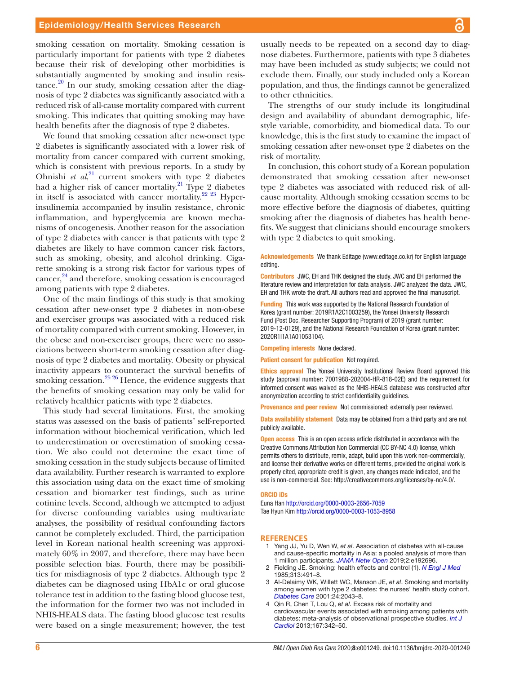smoking cessation on mortality. Smoking cessation is particularly important for patients with type 2 diabetes because their risk of developing other morbidities is substantially augmented by smoking and insulin resis $tance<sup>20</sup>$  In our study, smoking cessation after the diagnosis of type 2 diabetes was significantly associated with a reduced risk of all-cause mortality compared with current smoking. This indicates that quitting smoking may have health benefits after the diagnosis of type 2 diabetes.

We found that smoking cessation after new-onset type 2 diabetes is significantly associated with a lower risk of mortality from cancer compared with current smoking, which is consistent with previous reports. In a study by Ohnishi *et al*, [21](#page-6-13) current smokers with type 2 diabetes had a higher risk of cancer mortality. $^{21}$  Type 2 diabetes in itself is associated with cancer mortality.<sup>[22 23](#page-6-14)</sup> Hyperinsulinemia accompanied by insulin resistance, chronic inflammation, and hyperglycemia are known mechanisms of oncogenesis. Another reason for the association of type 2 diabetes with cancer is that patients with type 2 diabetes are likely to have common cancer risk factors, such as smoking, obesity, and alcohol drinking. Cigarette smoking is a strong risk factor for various types of cancer,<sup>24</sup> and therefore, smoking cessation is encouraged among patients with type 2 diabetes.

One of the main findings of this study is that smoking cessation after new-onset type 2 diabetes in non-obese and exerciser groups was associated with a reduced risk of mortality compared with current smoking. However, in the obese and non-exerciser groups, there were no associations between short-term smoking cessation after diagnosis of type 2 diabetes and mortality. Obesity or physical inactivity appears to counteract the survival benefits of smoking cessation.<sup>25</sup> 26 Hence, the evidence suggests that the benefits of smoking cessation may only be valid for relatively healthier patients with type 2 diabetes.

This study had several limitations. First, the smoking status was assessed on the basis of patients' self-reported information without biochemical verification, which led to underestimation or overestimation of smoking cessation. We also could not determine the exact time of smoking cessation in the study subjects because of limited data availability. Further research is warranted to explore this association using data on the exact time of smoking cessation and biomarker test findings, such as urine cotinine levels. Second, although we attempted to adjust for diverse confounding variables using multivariate analyses, the possibility of residual confounding factors cannot be completely excluded. Third, the participation level in Korean national health screening was approximately 60% in 2007, and therefore, there may have been possible selection bias. Fourth, there may be possibilities for misdiagnosis of type 2 diabetes. Although type 2 diabetes can be diagnosed using HbA1c or oral glucose tolerance test in addition to the fasting blood glucose test, the information for the former two was not included in NHIS-HEALS data. The fasting blood glucose test results were based on a single measurement; however, the test

usually needs to be repeated on a second day to diagnose diabetes. Furthermore, patients with type 3 diabetes may have been included as study subjects; we could not exclude them. Finally, our study included only a Korean population, and thus, the findings cannot be generalized to other ethnicities.

The strengths of our study include its longitudinal design and availability of abundant demographic, lifestyle variable, comorbidity, and biomedical data. To our knowledge, this is the first study to examine the impact of smoking cessation after new-onset type 2 diabetes on the risk of mortality.

In conclusion, this cohort study of a Korean population demonstrated that smoking cessation after new-onset type 2 diabetes was associated with reduced risk of allcause mortality. Although smoking cessation seems to be more effective before the diagnosis of diabetes, quitting smoking after the diagnosis of diabetes has health benefits. We suggest that clinicians should encourage smokers with type 2 diabetes to quit smoking.

## Acknowledgements We thank Editage ([www.editage.co.kr\)](www.editage.co.kr) for English language editing.

Contributors JWC, EH and THK designed the study. JWC and EH performed the literature review and interpretation for data analysis. JWC analyzed the data. JWC, EH and THK wrote the draft. All authors read and approved the final manuscript.

Funding This work was supported by the National Research Foundation of Korea (grant number: 2019R1A2C1003259), the Yonsei University Research Fund (Post Doc. Researcher Supporting Program) of 2019 (grant number: 2019-12-0129), and the National Research Foundation of Korea (grant number: 2020R1I1A1A01053104).

Competing interests None declared.

Patient consent for publication Not required.

Ethics approval The Yonsei University Institutional Review Board approved this study (approval number: 7001988-202004-HR-818-02E) and the requirement for informed consent was waived as the NHIS-HEALS database was constructed after anonymization according to strict confidentiality guidelines.

Provenance and peer review Not commissioned; externally peer reviewed.

Data availability statement Data may be obtained from a third party and are not publicly available.

**Open access** This is an open access article distributed in accordance with the Creative Commons Attribution Non Commercial (CC BY-NC 4.0) license, which permits others to distribute, remix, adapt, build upon this work non-commercially, and license their derivative works on different terms, provided the original work is properly cited, appropriate credit is given, any changes made indicated, and the use is non-commercial. See:<http://creativecommons.org/licenses/by-nc/4.0/>.

#### ORCID iDs

Euna Han <http://orcid.org/0000-0003-2656-7059> Tae Hyun Kim<http://orcid.org/0000-0003-1053-8958>

#### <span id="page-5-0"></span>**References**

- 1 Yang JJ, Yu D, Wen W, *et al*. Association of diabetes with all-cause and cause-specific mortality in Asia: a pooled analysis of more than 1 million participants. *[JAMA Netw Open](http://dx.doi.org/10.1001/jamanetworkopen.2019.2696)* 2019;2:e192696.
- <span id="page-5-1"></span>2 Fielding JE. Smoking: health effects and control (1). *[N Engl J Med](http://dx.doi.org/10.1056/NEJM198508223130807)* 1985;313:491–8.
- <span id="page-5-2"></span>3 Al-Delaimy WK, Willett WC, Manson JE, *et al*. Smoking and mortality among women with type 2 diabetes: the nurses' health study cohort. *[Diabetes Care](http://dx.doi.org/10.2337/diacare.24.12.2043)* 2001;24:2043–8.
- <span id="page-5-3"></span>4 Qin R, Chen T, Lou Q, *et al*. Excess risk of mortality and cardiovascular events associated with smoking among patients with diabetes: meta-analysis of observational prospective studies. *[Int J](http://dx.doi.org/10.1016/j.ijcard.2011.12.100)  [Cardiol](http://dx.doi.org/10.1016/j.ijcard.2011.12.100)* 2013;167:342–50.